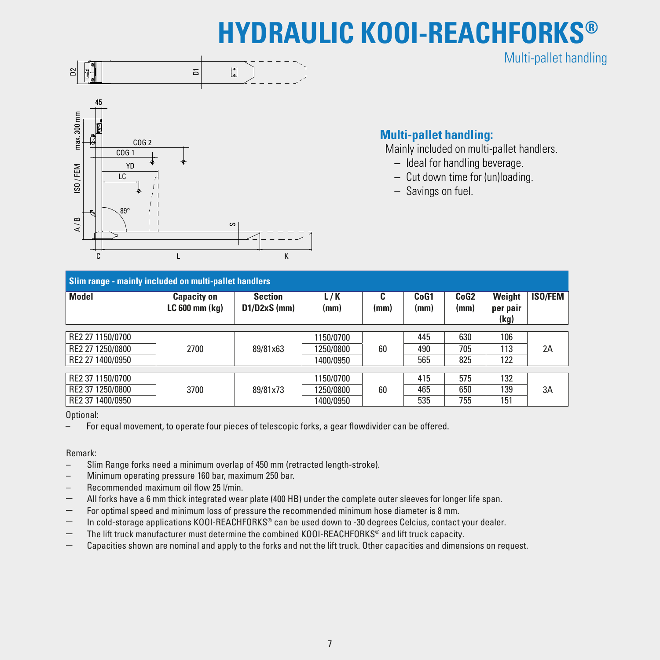# **HYDRAULIC KOOI-REACHFORKS®**





## **Multi-pallet handling:**

Mainly included on multi-pallet handlers.

Multi-pallet handling

- Ideal for handling beverage.
- Cut down time for (un)loading.
- Savings on fuel.

| Slim range - mainly included on multi-pallet handlers |                                          |                                  |             |                 |              |                          |                            |                |  |  |  |
|-------------------------------------------------------|------------------------------------------|----------------------------------|-------------|-----------------|--------------|--------------------------|----------------------------|----------------|--|--|--|
| <b>Model</b>                                          | <b>Capacity on</b><br>$LC 600$ mm $(kq)$ | <b>Section</b><br>$D1/D2xS$ (mm) | L/K<br>(mm) | r<br>ι.<br>(mm) | CoG1<br>(mm) | CoG <sub>2</sub><br>(mm) | Weight<br>per pair<br>(kg) | <b>ISO/FEM</b> |  |  |  |
| RE2 27 1150/0700                                      |                                          |                                  | 1150/0700   |                 | 445          | 630                      | 106                        |                |  |  |  |
| RE2 27 1250/0800                                      | 2700                                     | 89/81x63                         | 1250/0800   | 60              | 490          | 705                      | 113                        | 2A             |  |  |  |
| RE2 27 1400/0950                                      |                                          |                                  | 1400/0950   |                 | 565          | 825                      | 122                        |                |  |  |  |
|                                                       |                                          |                                  |             |                 |              |                          |                            |                |  |  |  |
| RE2 37 1150/0700                                      |                                          |                                  | 1150/0700   |                 | 415          | 575                      | 132                        |                |  |  |  |
| RE2 37 1250/0800                                      | 3700                                     | 89/81x73                         | 1250/0800   | 60              | 465          | 650                      | 139                        | 3A             |  |  |  |
| RE2 37 1400/0950                                      |                                          |                                  | 1400/0950   |                 | 535          | 755                      | 151                        |                |  |  |  |

Optional:<br>- For equal movement, to operate four pieces of telescopic forks, a gear flowdivider can be offered. –

### Remark:

- Slim Range forks need a minimum overlap of 450 mm (retracted length-stroke).
- Minimum operating pressure 160 bar, maximum 250 bar.
- Recommended maximum oil flow 25 l/min.
- All forks have a 6 mm thick integrated wear plate (400 HB) under the complete outer sleeves for longer life span.
- For optimal speed and minimum loss of pressure the recommended minimum hose diameter is 8 mm.
- In cold-storage applications KOOI-REACHFORKS® can be used down to -30 degrees Celcius, contact your dealer.
- The lift truck manufacturer must determine the combined KOOI-REACHFORKS® and lift truck capacity.
- Capacities shown are nominal and apply to the forks and not the lift truck. Other capacities and dimensions on request.